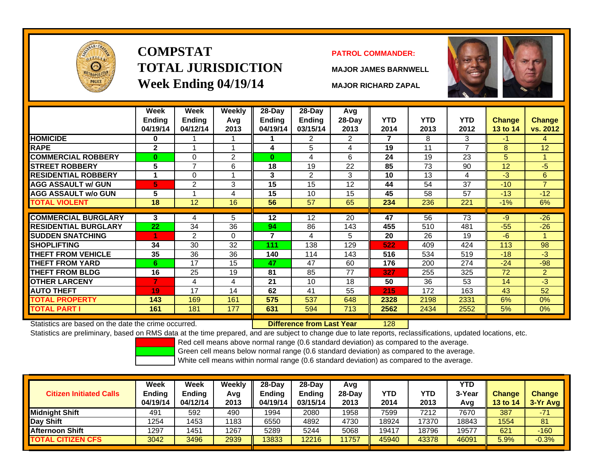

# **COMPSTATTOTAL JURISDICTIONWeek Ending 04/19/14 MAJOR RICHARD ZAPAL**

### **PATROL COMMANDER:**

**MAJOR JAMES BARNWELL**

128



|                             | Week<br><b>Ending</b><br>04/19/14 | Week<br><b>Ending</b><br>04/12/14 | Weekly<br>Avg<br>2013 | 28-Day<br>Endina<br>04/19/14 | $28-Day$<br><b>Ending</b><br>03/15/14 | Avg<br>28-Day<br>2013 | <b>YTD</b><br>2014 | <b>YTD</b><br>2013 | <b>YTD</b><br>2012 | <b>Change</b><br><b>13 to 14</b> | <b>Change</b><br>vs. 2012 |
|-----------------------------|-----------------------------------|-----------------------------------|-----------------------|------------------------------|---------------------------------------|-----------------------|--------------------|--------------------|--------------------|----------------------------------|---------------------------|
| <b>HOMICIDE</b>             | 0                                 |                                   |                       |                              | 2                                     | 2                     | 7                  | 8                  | 3                  | -1                               | 4                         |
| <b>RAPE</b>                 | $\mathbf{2}$                      |                                   | 1                     | 4                            | 5                                     | 4                     | 19                 | 11                 | $\overline{ }$     | 8                                | 12                        |
| <b>COMMERCIAL ROBBERY</b>   | $\bf{0}$                          | 0                                 | $\overline{2}$        | $\bf{0}$                     | 4                                     | 6                     | 24                 | 19                 | 23                 | 5                                |                           |
| <b>STREET ROBBERY</b>       | 5                                 | $\overline{7}$                    | 6                     | 18                           | 19                                    | 22                    | 85                 | 73                 | 90                 | 12                               | $-5$                      |
| <b>RESIDENTIAL ROBBERY</b>  |                                   | $\Omega$                          | 1                     | 3                            | 2                                     | 3                     | 10                 | 13                 | 4                  | $-3$                             | 6                         |
| <b>AGG ASSAULT w/ GUN</b>   | 5                                 | $\overline{2}$                    | 3                     | 15                           | 15                                    | 12                    | 44                 | 54                 | 37                 | $-10$                            | $\overline{7}$            |
| <b>AGG ASSAULT w/o GUN</b>  | 5                                 |                                   | 4                     | 15                           | 10                                    | 15                    | 45                 | 58                 | 57                 | $-13$                            | $-12$                     |
| TOTAL VIOLENT               | 18                                | 12                                | 16                    | 56                           | 57                                    | 65                    | 234                | 236                | 221                | $-1\%$                           | 6%                        |
| <b>COMMERCIAL BURGLARY</b>  | 3                                 | 4                                 | 5                     | 12                           | 12                                    | 20                    | 47                 | 56                 | 73                 | $-9$                             | $-26$                     |
|                             |                                   |                                   |                       |                              |                                       |                       |                    |                    |                    |                                  |                           |
| <b>RESIDENTIAL BURGLARY</b> | 22                                | 34                                | 36                    | 94                           | 86                                    | 143                   | 455                | 510                | 481                | $-55$                            | $-26$                     |
| <b>SUDDEN SNATCHING</b>     |                                   | 2                                 | $\Omega$              | 7                            | 4                                     | 5                     | 20                 | 26                 | 19                 | $-6$                             |                           |
| <b>SHOPLIFTING</b>          | 34                                | 30                                | 32                    | 111                          | 138                                   | 129                   | 522                | 409                | 424                | 113                              | 98                        |
| <b>THEFT FROM VEHICLE</b>   | 35                                | 36                                | 36                    | 140                          | 114                                   | 143                   | 516                | 534                | 519                | $-18$                            | $-3$                      |
| <b>THEFT FROM YARD</b>      | 6                                 | 17                                | 15                    | 47                           | 47                                    | 60                    | 176                | 200                | 274                | $-24$                            | $-98$                     |
| <b>THEFT FROM BLDG</b>      | 16                                | 25                                | 19                    | 81                           | 85                                    | 77                    | 327                | 255                | 325                | 72                               | $\overline{2}$            |
| <b>OTHER LARCENY</b>        | 7                                 | 4                                 | 4                     | 21                           | 10                                    | 18                    | 50                 | 36                 | 53                 | 14                               | $-3$                      |
| <b>AUTO THEFT</b>           | 19                                | 17                                | 14                    | 62                           | 41                                    | 55                    | 215                | 172                | 163                | 43                               | 52                        |
| <b>TOTAL PROPERTY</b>       | 143                               | 169                               | 161                   | 575                          | 537                                   | 648                   | 2328               | 2198               | 2331               | 6%                               | 0%                        |
| <b>TOTAL PART I</b>         | 161                               | 181                               | 177                   | 631                          | 594                                   | 713                   | 2562               | 2434               | 2552               | 5%                               | $0\%$                     |

Statistics are based on the date the crime occurred. **Difference from Last Year** 

Statistics are preliminary, based on RMS data at the time prepared, and are subject to change due to late reports, reclassifications, updated locations, etc.

Red cell means above normal range (0.6 standard deviation) as compared to the average.

Green cell means below normal range (0.6 standard deviation) as compared to the average.

| <b>Citizen Initiated Calls</b> | Week<br><b>Ending</b><br>04/19/14 | <b>Week</b><br><b>Ending</b><br>04/12/14 | Weekly<br>Avg<br>2013 | 28-Day<br><b>Ending</b><br>04/19/14 | $28-Day$<br><b>Ending</b><br>03/15/14 | Avg<br>28-Dav<br>2013 | YTD<br>2014 | YTD<br>2013 | <b>YTD</b><br>3-Year<br>Avg | <b>Change</b><br><b>13 to 14</b> | <b>Change</b><br>3-Yr Avg |
|--------------------------------|-----------------------------------|------------------------------------------|-----------------------|-------------------------------------|---------------------------------------|-----------------------|-------------|-------------|-----------------------------|----------------------------------|---------------------------|
| <b>I</b> Midniaht Shift        | 491                               | 592                                      | 490                   | 1994                                | 2080                                  | 1958                  | 7599        | 7212        | 7670                        | 387                              | $-71$                     |
| Day Shift                      | 1254                              | 1453                                     | 1183                  | 6550                                | 4892                                  | 4730                  | 18924       | 17370       | 18843                       | 1554                             | 81                        |
| <b>IAfternoon Shift</b>        | 1297                              | 1451                                     | 1267                  | 5289                                | 5244                                  | 5068                  | 19417       | 18796       | 19577                       | 621                              | $-160$                    |
| <b>TOTAL CITIZEN CFS</b>       | 3042                              | 3496                                     | 2939                  | 3833                                | 12216                                 | 1757                  | 45940       | 43378       | 46091                       | 5.9%                             | $-0.3%$                   |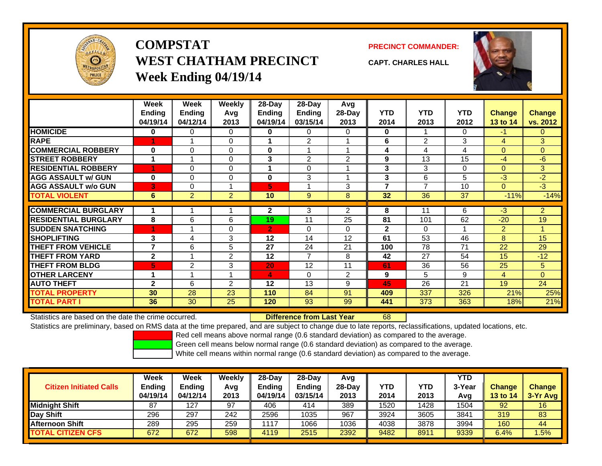

## **COMPSTATWEST CHATHAM PRECINCTWeek Ending 04/19/14**



**CAPT. CHARLES HALL**



|                             | Week         | Week           | Weekly         | 28-Day         | $28-Day$       | Avg            |              |                |            |                |                |
|-----------------------------|--------------|----------------|----------------|----------------|----------------|----------------|--------------|----------------|------------|----------------|----------------|
|                             | Ending       | Endina         | Avg            | Ending         | <b>Ending</b>  | 28-Day         | <b>YTD</b>   | <b>YTD</b>     | <b>YTD</b> | <b>Change</b>  | <b>Change</b>  |
|                             | 04/19/14     | 04/12/14       | 2013           | 04/19/14       | 03/15/14       | 2013           | 2014         | 2013           | 2012       | 13 to 14       | vs. 2012       |
| <b>HOMICIDE</b>             | 0            | 0              | 0              | 0              | 0              | 0              | $\mathbf 0$  |                | 0          | $-1$           | 0              |
| <b>RAPE</b>                 | 1            |                | $\Omega$       |                | $\overline{2}$ |                | 6            | $\overline{2}$ | 3          | 4              | 3              |
| <b>COMMERCIAL ROBBERY</b>   | $\bf{0}$     | $\Omega$       | 0              | $\bf{0}$       |                |                | 4            | 4              | 4          | $\Omega$       | $\overline{0}$ |
| <b>STREET ROBBERY</b>       |              |                | 0              | 3              | $\overline{2}$ | 2              | 9            | 13             | 15         | $-4$           | $-6$           |
| <b>RESIDENTIAL ROBBERY</b>  |              | $\Omega$       | 0              |                | 0              |                | 3            | 3              | 0          | $\Omega$       | 3 <sup>1</sup> |
| <b>AGG ASSAULT w/ GUN</b>   | $\bf{0}$     | $\Omega$       | $\Omega$       | $\bf{0}$       | 3              |                | 3            | 6              | 5          | $-3$           | $-2$           |
| <b>AGG ASSAULT w/o GUN</b>  | 3            | 0              |                | 5              |                | 3              | 7            | $\overline{7}$ | 10         | $\Omega$       | $-3$           |
| <b>TOTAL VIOLENT</b>        | 6            | $\overline{2}$ | $\overline{2}$ | 10             | 9              | 8              | 32           | 36             | 37         | $-11%$         | $-14%$         |
|                             |              |                |                |                |                |                |              |                |            |                |                |
| <b>COMMERCIAL BURGLARY</b>  |              |                |                | $\mathbf{2}$   | 3              | $\overline{2}$ | 8            | 11             | 6          | $-3$           | $\overline{2}$ |
| <b>RESIDENTIAL BURGLARY</b> | 8            | 6              | 6              | 19             | 11             | 25             | 81           | 101            | 62         | $-20$          | 19             |
| <b>ISUDDEN SNATCHING</b>    | 4            |                | $\Omega$       | $\overline{2}$ | 0              | 0              | $\mathbf{2}$ | $\Omega$       |            | $\overline{2}$ |                |
| <b>SHOPLIFTING</b>          | 3            | 4              | 3              | 12             | 14             | 12             | 61           | 53             | 46         | 8              | 15             |
| <b>THEFT FROM VEHICLE</b>   | 7            | 6              | 5              | 27             | 24             | 21             | 100          | 78             | 71         | 22             | 29             |
| <b>THEFT FROM YARD</b>      | $\mathbf{2}$ |                | $\overline{2}$ | 12             | 7              | 8              | 42           | 27             | 54         | 15             | $-12$          |
| <b>THEFT FROM BLDG</b>      | 5            | 2              | 3              | 20             | 12             | 11             | 61           | 36             | 56         | 25             | 5.             |
| <b>OTHER LARCENY</b>        | 4            |                |                | 4              | 0              | 2              | 9            | 5              | 9          | 4              | $\overline{0}$ |
| <b>AUTO THEFT</b>           | $\mathbf{2}$ | 6              | $\overline{2}$ | 12             | 13             | 9              | 45           | 26             | 21         | 19             | 24             |
| <b>TOTAL PROPERTY</b>       | 30           | 28             | 23             | 110            | 84             | 91             | 409          | 337            | 326        | 21%            | 25%            |
| <b>TOTAL PART I</b>         | 36           | 30             | 25             | 120            | 93             | 99             | 441          | 373            | 363        | 18%            | 21%            |

Statistics are based on the date the crime occurred. **Difference from Last Year** 

r 68

Statistics are preliminary, based on RMS data at the time prepared, and are subject to change due to late reports, reclassifications, updated locations, etc.

Red cell means above normal range (0.6 standard deviation) as compared to the average.

Green cell means below normal range (0.6 standard deviation) as compared to the average.

|                                | <b>Week</b>   | Week          | Weekly | $28-Day$      | 28-Dav   | Avg      |            |      | <b>YTD</b> |                 |               |
|--------------------------------|---------------|---------------|--------|---------------|----------|----------|------------|------|------------|-----------------|---------------|
| <b>Citizen Initiated Calls</b> | <b>Ending</b> | <b>Ending</b> | Avg    | <b>Ending</b> | Endina   | $28-Day$ | <b>YTD</b> | YTD  | 3-Year     | <b>Change</b>   | <b>Change</b> |
|                                | 04/19/14      | 04/12/14      | 2013   | 04/19/14      | 03/15/14 | 2013     | 2014       | 2013 | Avg        | <b>13 to 14</b> | $3-Yr$ Avg    |
| <b>Midnight Shift</b>          | 87            | 127           | 97     | 406           | 414      | 389      | 1520       | 428  | 1504       | 92              | 16            |
| Day Shift                      | 296           | 297           | 242    | 2596          | 1035     | 967      | 3924       | 3605 | 3841       | 319             | 83            |
| <b>Afternoon Shift</b>         | 289           | 295           | 259    | 1117          | 1066     | 1036     | 4038       | 3878 | 3994       | 160             | 44            |
| <b>TOTAL CITIZEN CFS</b>       | 672           | 672           | 598    | 4119          | 2515     | 2392     | 9482       | 8911 | 9339       | 6.4%            | .5%           |
|                                |               |               |        |               |          |          |            |      |            |                 |               |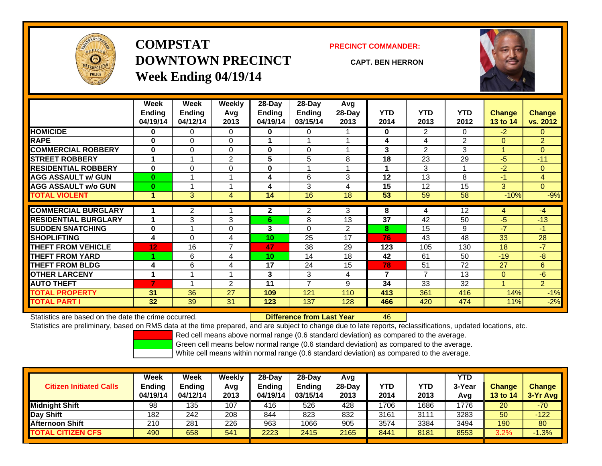

**COMPSTATDOWNTOWN PRECINCTWeek Ending 04/19/14**

#### **PRECINCT COMMANDER:**

**CAPT. BEN HERRON**

46



|                             | Week          | Week          | <b>Weekly</b>  | $28$ -Day    | $28-Day$       | Avg            |                          |                |                |                |                |
|-----------------------------|---------------|---------------|----------------|--------------|----------------|----------------|--------------------------|----------------|----------------|----------------|----------------|
|                             | <b>Ending</b> | <b>Ending</b> | Avg            | Ending       | <b>Ending</b>  | 28-Day         | <b>YTD</b>               | <b>YTD</b>     | <b>YTD</b>     | <b>Change</b>  | <b>Change</b>  |
|                             | 04/19/14      | 04/12/14      | 2013           | 04/19/14     | 03/15/14       | 2013           | 2014                     | 2013           | 2012           | 13 to 14       | vs. 2012       |
| <b>HOMICIDE</b>             | 0             | 0             | 0              | 0            | 0              |                | 0                        | $\overline{2}$ | 0              | $-2$           | $\overline{0}$ |
| <b>RAPE</b>                 | 0             | 0             | $\Omega$       |              |                |                | 4                        | 4              | $\overline{2}$ | $\Omega$       | $\overline{2}$ |
| <b>COMMERCIAL ROBBERY</b>   | $\bf{0}$      | 0             | $\Omega$       | 0            | 0              |                | 3                        | 2              | 3              | 1              | $\Omega$       |
| <b>STREET ROBBERY</b>       |               |               | $\overline{2}$ | 5            | 5              | 8              | 18                       | 23             | 29             | $-5$           | $-11$          |
| <b>RESIDENTIAL ROBBERY</b>  | $\bf{0}$      | 0             | 0              | 0            |                |                | $\blacktriangleleft$     | 3              |                | $-2$           | $\overline{0}$ |
| <b>AGG ASSAULT w/ GUN</b>   | $\bf{0}$      |               |                | 4            | 6              | 3              | 12                       | 13             | 8              | $-1$           | 4              |
| <b>AGG ASSAULT w/o GUN</b>  | $\bf{0}$      |               |                | 4            | 3              | 4              | 15                       | 12             | 15             | $\overline{3}$ | $\overline{0}$ |
| <b>TOTAL VIOLENT</b>        | 1             | 3             | 4              | 14           | 16             | 18             | 53                       | 59             | 58             | $-10%$         | $-9%$          |
| <b>COMMERCIAL BURGLARY</b>  |               |               |                | $\mathbf{2}$ |                | 3              | 8                        | 4              | 12             |                | $-4$           |
|                             |               | 2             |                |              | 2              |                |                          |                |                | 4              |                |
| <b>RESIDENTIAL BURGLARY</b> |               | 3             | 3              | 6            | 8              | 13             | 37                       | 42             | 50             | -5             | $-13$          |
| <b>SUDDEN SNATCHING</b>     | $\bf{0}$      |               | $\Omega$       | 3            | $\Omega$       | $\overline{2}$ | 8                        | 15             | 9              | $-7$           | $-1$           |
| <b>SHOPLIFTING</b>          | 4             | 0             | 4              | 10           | 25             | 17             | 76                       | 43             | 48             | 33             | 28             |
| <b>THEFT FROM VEHICLE</b>   | 12            | 16            | $\overline{7}$ | 47           | 38             | 29             | 123                      | 105            | 130            | 18             | $-7$           |
| <b>THEFT FROM YARD</b>      |               | 6             | 4              | 10           | 14             | 18             | 42                       | 61             | 50             | $-19$          | $-8$           |
| <b>THEFT FROM BLDG</b>      | 4             | 6             | 4              | 17           | 24             | 15             | 78                       | 51             | 72             | 27             | 6              |
| <b>OTHER LARCENY</b>        | 1             |               |                | 3            | 3              | 4              | $\overline{\phantom{a}}$ | $\overline{7}$ | 13             | $\mathbf{0}$   | $-6$           |
| <b>AUTO THEFT</b>           |               |               | 2              | 11           | $\overline{ }$ | 9              | 34                       | 33             | 32             | 4              | 2 <sup>1</sup> |
| <b>TOTAL PROPERTY</b>       | 31            | 36            | 27             | 109          | 121            | 110            | 413                      | 361            | 416            | 14%            | $-1%$          |
| <b>TOTAL PART I</b>         | 32            | 39            | 31             | 123          | 137            | 128            | 466                      | 420            | 474            | 11%            | $-2%$          |

Statistics are based on the date the crime occurred. **Difference from Last Year** 

Statistics are preliminary, based on RMS data at the time prepared, and are subject to change due to late reports, reclassifications, updated locations, etc.

Red cell means above normal range (0.6 standard deviation) as compared to the average.

Green cell means below normal range (0.6 standard deviation) as compared to the average.

| <b>Citizen Initiated Calls</b> | Week<br><b>Ending</b><br>04/19/14 | Week<br><b>Ending</b><br>04/12/14 | Weekly<br>Avg<br>2013 | $28-Day$<br>Ending<br>04/19/14 | 28-Day<br>Ending<br>03/15/14 | Avg<br>28-Dav<br>2013 | YTD<br>2014 | YTD<br>2013 | <b>YTD</b><br>3-Year<br>Avg | <b>Change</b><br><b>13 to 14</b> | <b>Change</b><br>3-Yr Avg |
|--------------------------------|-----------------------------------|-----------------------------------|-----------------------|--------------------------------|------------------------------|-----------------------|-------------|-------------|-----------------------------|----------------------------------|---------------------------|
| <b>Midnight Shift</b>          | 98                                | 135                               | 107                   | 416                            | 526                          | 428                   | 1706        | 1686        | 1776                        | 20                               | -70                       |
| Day Shift                      | 182                               | 242                               | 208                   | 844                            | 823                          | 832                   | 3161        | 3111        | 3283                        | 50                               | $-122$                    |
| <b>Afternoon Shift</b>         | 210                               | 281                               | 226                   | 963                            | 1066                         | 905                   | 3574        | 3384        | 3494                        | 190                              | 80                        |
| <b>TOTAL CITIZEN CFS</b>       | 490                               | 658                               | 541                   | 2223                           | 2415                         | 2165                  | 8441        | 8181        | 8553                        | 3.2%                             | $-1.3%$                   |
|                                |                                   |                                   |                       |                                |                              |                       |             |             |                             |                                  |                           |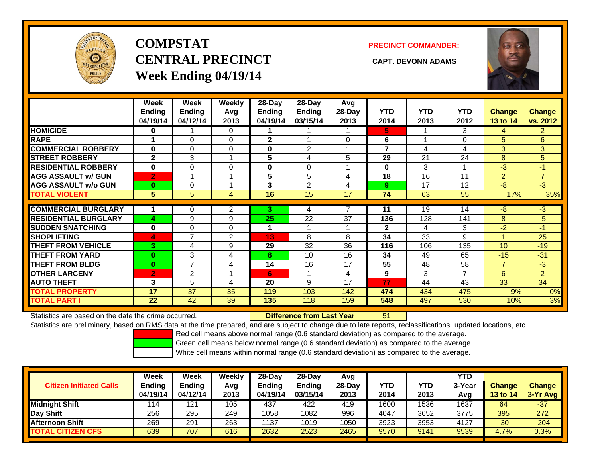

# **COMPSTATCENTRAL PRECINCT CAPT. DEVONN ADAMSWeek Ending 04/19/14**

#### **PRECINCT COMMANDER:**



|                             | Week<br>Ending<br>04/19/14 | Week<br><b>Ending</b><br>04/12/14 | Weekly<br>Avg<br>2013 | 28-Day<br>Ending<br>04/19/14 | $28-Day$<br><b>Ending</b><br>03/15/14 | Avg<br>28-Day<br>2013 | <b>YTD</b><br>2014 | <b>YTD</b><br>2013 | <b>YTD</b><br>2012 | <b>Change</b><br>13 to 14 | Change<br>vs. 2012 |
|-----------------------------|----------------------------|-----------------------------------|-----------------------|------------------------------|---------------------------------------|-----------------------|--------------------|--------------------|--------------------|---------------------------|--------------------|
| <b>HOMICIDE</b>             | 0                          |                                   | $\Omega$              |                              |                                       |                       | 5.                 |                    | 3                  | 4                         | $\overline{2}$     |
| <b>RAPE</b>                 |                            | $\Omega$                          | $\Omega$              | 2                            |                                       | $\Omega$              | 6                  |                    | 0                  | 5                         | 6                  |
| <b>COMMERCIAL ROBBERY</b>   | $\bf{0}$                   | 0                                 | $\mathbf 0$           | 0                            | 2                                     |                       | $\overline{7}$     | 4                  | 4                  | 3                         | 3 <sup>1</sup>     |
| <b>STREET ROBBERY</b>       | $\mathbf{2}$               | 3                                 | 1                     | 5                            | 4                                     | 5                     | 29                 | 21                 | 24                 | 8                         | 5                  |
| <b>RESIDENTIAL ROBBERY</b>  | $\bf{0}$                   | $\Omega$                          | 0                     | 0                            | $\Omega$                              |                       | $\bf{0}$           | 3                  |                    | $-3$                      | $-1$               |
| <b>AGG ASSAULT w/ GUN</b>   | $\overline{2}$             |                                   | 1                     | 5                            | 5                                     | 4                     | 18                 | 16                 | 11                 | 2                         | $\overline{7}$     |
| <b>AGG ASSAULT w/o GUN</b>  | $\mathbf{0}$               | 0                                 |                       | 3                            | $\overline{2}$                        | 4                     | 9                  | 17                 | 12                 | $-8$                      | $-3$               |
| <b>TOTAL VIOLENT</b>        | 5                          | 5                                 | 4                     | 16                           | 15                                    | 17                    | 74                 | 63                 | 55                 | 17%                       | 35%                |
|                             |                            |                                   |                       |                              |                                       |                       |                    |                    |                    |                           |                    |
| <b>COMMERCIAL BURGLARY</b>  |                            | 0                                 | $\overline{2}$        | 3.                           | 4                                     |                       | 11                 | 19                 | 14                 | $-8$                      | $-3$               |
| <b>RESIDENTIAL BURGLARY</b> | 4                          | 9                                 | 9                     | 25                           | 22                                    | 37                    | 136                | 128                | 141                | 8                         | $-5$               |
| <b>SUDDEN SNATCHING</b>     | $\bf{0}$                   | 0                                 | $\Omega$              |                              |                                       |                       | $\mathbf{2}$       | 4                  | 3                  | $-2$                      | $-1$               |
| <b>SHOPLIFTING</b>          | $\blacktriangle$           | 7                                 | $\overline{2}$        | 13                           | 8                                     | 8                     | 34                 | 33                 | 9                  | 4                         | 25                 |
| <b>THEFT FROM VEHICLE</b>   | 3.                         | 4                                 | 9                     | 29                           | 32                                    | 36                    | 116                | 106                | 135                | 10 <sup>1</sup>           | $-19$              |
| <b>THEFT FROM YARD</b>      | $\bf{0}$                   | 3                                 | 4                     | 8                            | 10                                    | 16                    | 34                 | 49                 | 65                 | $-15$                     | $-31$              |
| <b>THEFT FROM BLDG</b>      | $\mathbf{0}$               | $\overline{7}$                    | 4                     | 14                           | 16                                    | 17                    | 55                 | 48                 | 58                 | $\overline{7}$            | $-3$               |
| <b>OTHER LARCENY</b>        | $\overline{2}$             | 2                                 | 1                     | 6                            |                                       | 4                     | 9                  | 3                  | 7                  | 6                         | $\overline{2}$     |
| <b>AUTO THEFT</b>           | 3                          | 5                                 | 4                     | 20                           | 9                                     | 17                    | 77                 | 44                 | 43                 | 33                        | 34                 |
| <b>TOTAL PROPERTY</b>       | 17                         | 37                                | 35                    | 119                          | 103                                   | 142                   | 474                | 434                | 475                | 9%                        | 0%                 |
| <b>TOTAL PART I</b>         | 22                         | 42                                | 39                    | 135                          | 118                                   | 159                   | 548                | 497                | 530                | 10%                       | 3%                 |

Statistics are based on the date the crime occurred. **Difference from Last Year** 

51

Statistics are preliminary, based on RMS data at the time prepared, and are subject to change due to late reports, reclassifications, updated locations, etc.

Red cell means above normal range (0.6 standard deviation) as compared to the average.

Green cell means below normal range (0.6 standard deviation) as compared to the average.

| 2013 |      | Avg                                          | <b>13 to 14</b> | $3-Yr$ Avg |
|------|------|----------------------------------------------|-----------------|------------|
| 419  | 1536 | 1637                                         | 64              | $-37$      |
| 996  | 3652 | 3775                                         | 395             | 272        |
| 1050 | 3953 | 4127                                         | $-30$           | $-204$     |
| 2465 | 9141 | 9539                                         | 4.7%            | 0.3%       |
|      |      | 2014<br>2013<br>1600<br>4047<br>3923<br>9570 |                 |            |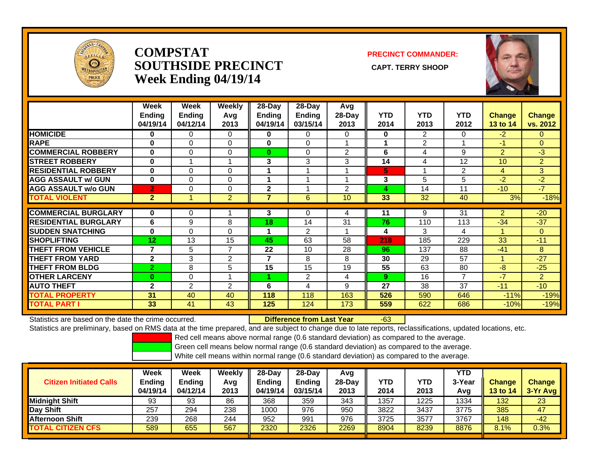

### **COMPSTATSOUTHSIDE PRECINCT** CAPT. TERRY SHOOP **Week Ending 04/19/14**

**PRECINCT COMMANDER:**



|                             | Week<br><b>Ending</b><br>04/19/14 | Week<br><b>Ending</b><br>04/12/14 | <b>Weekly</b><br>Avg<br>2013 | $28-Day$<br><b>Ending</b><br>04/19/14 | $28-Day$<br><b>Ending</b><br>03/15/14 | Avg<br>28-Day<br>2013 | <b>YTD</b><br>2014 | <b>YTD</b><br>2013 | <b>YTD</b><br>2012 | <b>Change</b><br>13 to 14 | <b>Change</b><br>vs. 2012 |
|-----------------------------|-----------------------------------|-----------------------------------|------------------------------|---------------------------------------|---------------------------------------|-----------------------|--------------------|--------------------|--------------------|---------------------------|---------------------------|
| <b>HOMICIDE</b>             | 0                                 | 0                                 | $\Omega$                     | 0                                     | 0                                     | 0                     | 0                  | 2                  | 0                  | $-2$                      | $\mathbf{0}$              |
| <b>RAPE</b>                 | $\bf{0}$                          | $\Omega$                          | 0                            | $\bf{0}$                              | 0                                     |                       | 1                  | $\overline{2}$     |                    | $-1$                      | $\overline{0}$            |
| <b>COMMERCIAL ROBBERY</b>   | $\bf{0}$                          | $\Omega$                          | $\mathbf 0$                  | $\bf{0}$                              | $\Omega$                              | 2                     | 6                  | 4                  | 9                  | $\overline{2}$            | $-3$                      |
| <b>STREET ROBBERY</b>       | $\bf{0}$                          |                                   | 1                            | 3                                     | 3                                     | 3                     | 14                 | 4                  | 12                 | 10 <sup>°</sup>           | $\overline{2}$            |
| <b>RESIDENTIAL ROBBERY</b>  | 0                                 | 0                                 | $\Omega$                     |                                       |                                       |                       | 5                  |                    | 2                  | $\overline{4}$            | 3                         |
| <b>AGG ASSAULT w/ GUN</b>   | $\bf{0}$                          | 0                                 | 0                            |                                       |                                       |                       | 3                  | 5                  | 5                  | $-2$                      | $-2$                      |
| <b>AGG ASSAULT w/o GUN</b>  | $\overline{2}$                    | 0                                 | $\Omega$                     | $\overline{2}$                        |                                       | $\overline{2}$        | 4                  | 14                 | 11                 | $-10$                     | $-7$                      |
| <b>TOTAL VIOLENT</b>        | $\overline{2}$                    |                                   | $\overline{2}$               | 7                                     | 6                                     | 10                    | 33                 | 32                 | 40                 | 3%                        | $-18%$                    |
|                             |                                   |                                   |                              |                                       |                                       |                       |                    |                    |                    |                           |                           |
| <b>COMMERCIAL BURGLARY</b>  | 0                                 | 0                                 |                              | 3                                     | 0                                     | 4                     | 11                 | 9                  | 31                 | $\overline{2}$            | $-20$                     |
| <b>RESIDENTIAL BURGLARY</b> | 6                                 | 9                                 | 8                            | 18                                    | 14                                    | 31                    | 76                 | 110                | 113                | $-34$                     | $-37$                     |
| <b>SUDDEN SNATCHING</b>     | 0                                 | $\Omega$                          | 0                            |                                       | $\overline{2}$                        |                       | 4                  | 3                  | 4                  |                           | $\mathbf{0}$              |
| <b>SHOPLIFTING</b>          | 12                                | 13                                | 15                           | 45                                    | 63                                    | 58                    | 218                | 185                | 229                | 33                        | $-11$                     |
| <b>THEFT FROM VEHICLE</b>   | 7                                 | 5                                 | $\overline{7}$               | 22                                    | 10                                    | 28                    | 96                 | 137                | 88                 | $-41$                     | 8                         |
| <b>THEFT FROM YARD</b>      | $\mathbf{2}$                      | 3                                 | $\overline{2}$               | 7                                     | 8                                     | 8                     | 30                 | 29                 | 57                 | -1                        | $-27$                     |
| <b>THEFT FROM BLDG</b>      | $\overline{2}$                    | 8                                 | 5                            | 15                                    | 15                                    | 19                    | 55                 | 63                 | 80                 | -8                        | $-25$                     |
| <b>OTHER LARCENY</b>        | 0                                 | 0                                 | и                            |                                       | $\overline{2}$                        | 4                     | 9.                 | 16                 | $\overline{7}$     | $-7$                      | $\overline{2}$            |
| <b>AUTO THEFT</b>           | $\mathbf{2}$                      | 2                                 | $\mathfrak{p}$               | 6                                     | 4                                     | 9                     | 27                 | 38                 | 37                 | $-11$                     | $-10$                     |
| <b>TOTAL PROPERTY</b>       | 31                                | 40                                | 40                           | 118                                   | 118                                   | 163                   | 526                | 590                | 646                | $-11%$                    | $-19%$                    |
| <b>TOTAL PART I</b>         | 33                                | 41                                | 43                           | 125                                   | 124                                   | 173                   | 559                | 622                | 686                | $-10%$                    | $-19%$                    |

Statistics are based on the date the crime occurred. **Difference from Last Year** 

r -63

Statistics are preliminary, based on RMS data at the time prepared, and are subject to change due to late reports, reclassifications, updated locations, etc.

Red cell means above normal range (0.6 standard deviation) as compared to the average.

Green cell means below normal range (0.6 standard deviation) as compared to the average.

| <b>Citizen Initiated Calls</b> | Week<br>Ending<br>04/19/14 | <b>Week</b><br><b>Ending</b><br>04/12/14 | Weekly<br>Avg<br>2013 | $28-Day$<br><b>Ending</b><br>04/19/14 | 28-Dav<br><b>Ending</b><br>03/15/14 | Avg<br>$28-Dav$<br>2013 | YTD<br>2014 | YTD<br>2013 | <b>YTD</b><br>3-Year<br>Avg | <b>Change</b><br>13 to 14 | <b>Change</b><br>3-Yr Avg |
|--------------------------------|----------------------------|------------------------------------------|-----------------------|---------------------------------------|-------------------------------------|-------------------------|-------------|-------------|-----------------------------|---------------------------|---------------------------|
| <b>I</b> Midniaht Shift        | 93                         | 93                                       | 86                    | 368                                   | 359                                 | 343                     | 1357        | 1225        | 1334                        | 132                       | 23                        |
| Day Shift                      | 257                        | 294                                      | 238                   | 1000                                  | 976                                 | 950                     | 3822        | 3437        | 3775                        | 385                       | 47                        |
| <b>Afternoon Shift</b>         | 239                        | 268                                      | 244                   | 952                                   | 991                                 | 976                     | 3725        | 3577        | 3767                        | 148                       | $-42$                     |
| <b>TOTAL CITIZEN CFS</b>       | 589                        | 655                                      | 567                   | 2320                                  | 2326                                | 2269                    | 8904        | 8239        | 8876                        | 8.1%                      | 0.3%                      |